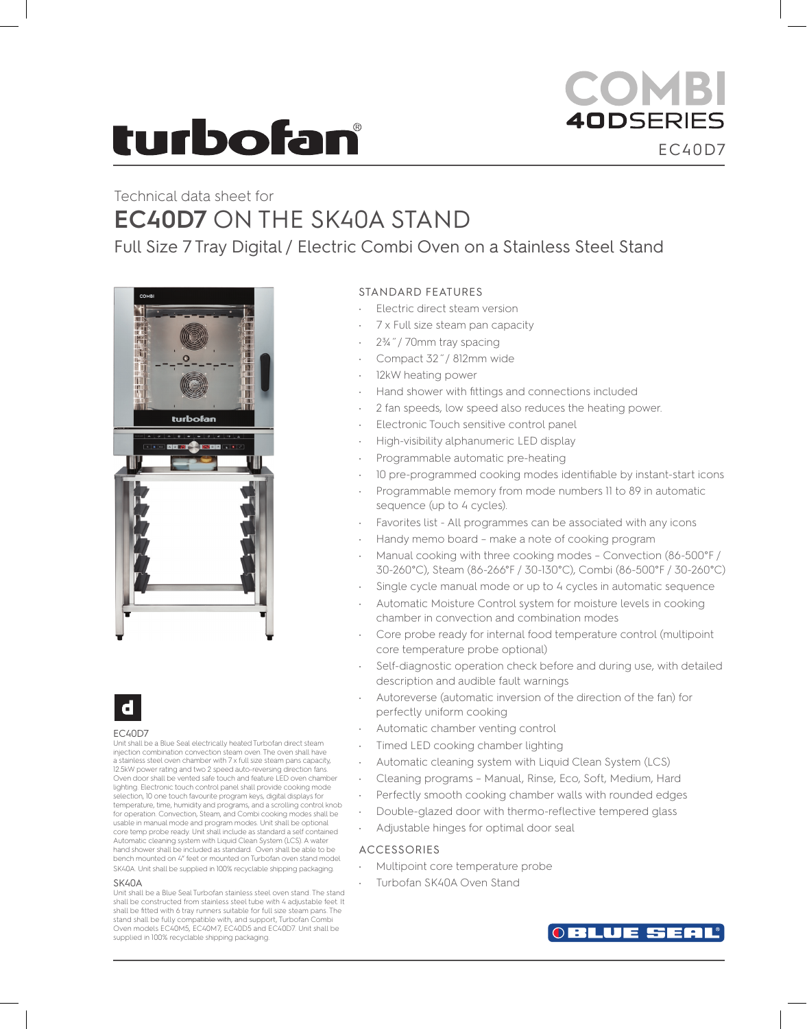# **turbofan**

# COMBI **40DSERIES** EC40D7

# Technical data sheet for **EC40D7** ON THE SK40A STAND

Full Size 7 Tray Digital / Electric Combi Oven on a Stainless Steel Stand





#### EC40D7

Unit shall be a Blue Seal electrically heated Turbofan direct steam injection combination convection steam oven. The oven shall have a stainless steel oven chamber with 7 x full size steam pans capacity, 12.5kW power rating and two 2 speed auto-reversing direction fans. Oven door shall be vented safe touch and feature LED oven chamber lighting. Electronic touch control panel shall provide cooking mode selection, 10 one touch favourite program keys, digital displays for temperature, time, humidity and programs, and a scrolling control knob for operation. Convection, Steam, and Combi cooking modes shall be usable in manual mode and program modes. Unit shall be optional core temp probe ready. Unit shall include as standard a self contained Automatic cleaning system with Liquid Clean System (LCS). A water hand shower shall be included as standard. Oven shall be able to be bench mounted on 4" feet or mounted on Turbofan oven stand model SK40A. Unit shall be supplied in 100% recyclable shipping packaging.

#### **SK40A**

Unit shall be a Blue Seal Turbofan stainless steel oven stand. The stand shall be constructed from stainless steel tube with 4 adjustable feet. It shall be fitted with 6 tray runners suitable for full size steam pans. The stand shall be fully compatible with, and support, Turbofan Combi Oven models EC40M5, EC40M7, EC40D5 and EC40D7. Unit shall be supplied in 100% recyclable shipping packaging.

### STANDARD FEATURES

- Electric direct steam version
- 7 x Full size steam pan capacity
- 2¾˝/ 70mm tray spacing
- Compact 32˝/ 812mm wide
- 12kW heating power
- Hand shower with fittings and connections included
- 2 fan speeds, low speed also reduces the heating power.
- Electronic Touch sensitive control panel
- High-visibility alphanumeric LED display
- Programmable automatic pre-heating
- 10 pre-programmed cooking modes identifiable by instant-start icons
- Programmable memory from mode numbers 11 to 89 in automatic sequence (up to 4 cycles).
- Favorites list All programmes can be associated with any icons
- Handy memo board make a note of cooking program
- Manual cooking with three cooking modes Convection (86-500°F / 30-260°C), Steam (86-266°F / 30-130°C), Combi (86-500°F / 30-260°C)
- Single cycle manual mode or up to 4 cycles in automatic sequence
- Automatic Moisture Control system for moisture levels in cooking chamber in convection and combination modes
- Core probe ready for internal food temperature control (multipoint core temperature probe optional)
- Self-diagnostic operation check before and during use, with detailed description and audible fault warnings
- Autoreverse (automatic inversion of the direction of the fan) for perfectly uniform cooking
- Automatic chamber venting control
- Timed LED cooking chamber lighting
- Automatic cleaning system with Liquid Clean System (LCS)
- Cleaning programs Manual, Rinse, Eco, Soft, Medium, Hard
- Perfectly smooth cooking chamber walls with rounded edges
- Double-glazed door with thermo-reflective tempered glass
- Adjustable hinges for optimal door seal

### ACCESSORIES

- Multipoint core temperature probe
- Turbofan SK40A Oven Stand